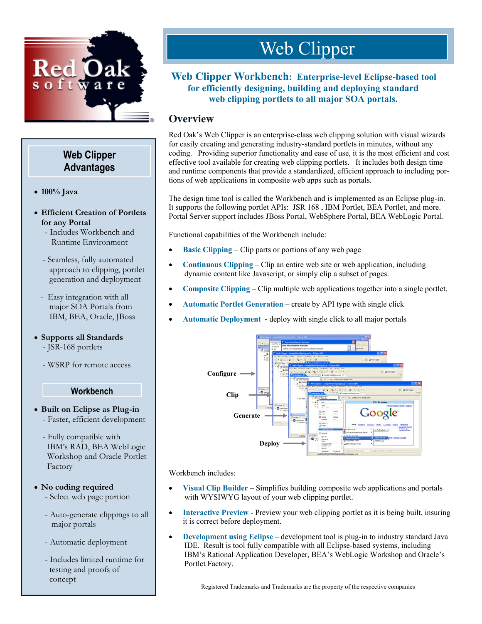

## **Web Clipper Advantages**

- !"**100% Java**
- !" **Efficient Creation of Portlets for any Portal**
	- Includes Workbench and Runtime Environment
	- Seamless, fully automated approach to clipping, portlet generation and deployment
	- Easy integration with all major SOA Portals from IBM, BEA, Oracle, JBoss
- !" **Supports all Standards** 
	- JSR-168 portlets
	- WSRP for remote access

## **Workbench**

- !" **Built on Eclipse as Plug-in**  - Faster, efficient development
	- Fully compatible with IBM's RAD, BEA WebLogic Workshop and Oracle Portlet Factory

### • No coding required

- Select web page portion
- Auto-generate clippings to all major portals
- Automatic deployment
- Includes limited runtime for testing and proofs of concept

# Web Clipper

## **Web Clipper Workbench: Enterprise-level Eclipse-based tool for efficiently designing, building and deploying standard web clipping portlets to all major SOA portals.**

## **Overview**

Red Oak's Web Clipper is an enterprise-class web clipping solution with visual wizards for easily creating and generating industry-standard portlets in minutes, without any coding. Providing superior functionality and ease of use, it is the most efficient and cost effective tool available for creating web clipping portlets. It includes both design time and runtime components that provide a standardized, efficient approach to including portions of web applications in composite web apps such as portals.

The design time tool is called the Workbench and is implemented as an Eclipse plug-in. It supports the following portlet APIs: JSR 168 , IBM Portlet, BEA Portlet, and more. Portal Server support includes JBoss Portal, WebSphere Portal, BEA WebLogic Portal.

Functional capabilities of the Workbench include:

- **Basic Clipping** Clip parts or portions of any web page
- !" **Continuous Clipping**  Clip an entire web site or web application, including dynamic content like Javascript, or simply clip a subset of pages.
- **Composite Clipping** Clip multiple web applications together into a single portlet.
- !" **Automatic Portlet Generation** create by API type with single click
- !" **Automatic Deployment -** deploy with single click to all major portals



Workbench includes:

- **Visual Clip Builder** Simplifies building composite web applications and portals with WYSIWYG layout of your web clipping portlet.
- **Interactive Preview Preview your web clipping portlet as it is being built, insuring** it is correct before deployment.
- **Development using Eclipse** development tool is plug-in to industry standard Java IDE. Result is tool fully compatible with all Eclipse-based systems, including IBM's Rational Application Developer, BEA's WebLogic Workshop and Oracle's Portlet Factory.